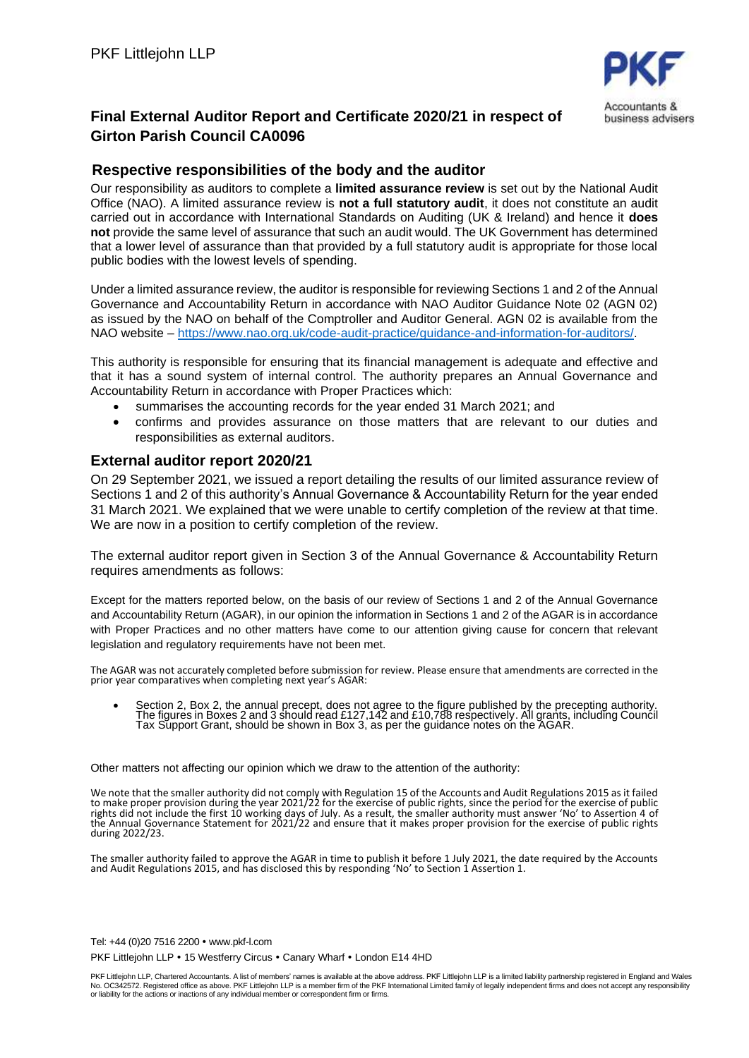

## **Final External Auditor Report and Certificate 2020/21 in respect of Girton Parish Council CA0096**

## **Respective responsibilities of the body and the auditor**

Our responsibility as auditors to complete a **limited assurance review** is set out by the National Audit Office (NAO). A limited assurance review is **not a full statutory audit**, it does not constitute an audit carried out in accordance with International Standards on Auditing (UK & Ireland) and hence it **does not** provide the same level of assurance that such an audit would. The UK Government has determined that a lower level of assurance than that provided by a full statutory audit is appropriate for those local public bodies with the lowest levels of spending.

Under a limited assurance review, the auditor is responsible for reviewing Sections 1 and 2 of the Annual Governance and Accountability Return in accordance with NAO Auditor Guidance Note 02 (AGN 02) as issued by the NAO on behalf of the Comptroller and Auditor General. AGN 02 is available from the NAO website – [https://www.nao.org.uk/code-audit-practice/guidance-and-information-for-auditors/.](https://www.nao.org.uk/code-audit-practice/guidance-and-information-for-auditors/)

This authority is responsible for ensuring that its financial management is adequate and effective and that it has a sound system of internal control. The authority prepares an Annual Governance and Accountability Return in accordance with Proper Practices which:

- summarises the accounting records for the year ended 31 March 2021; and
- confirms and provides assurance on those matters that are relevant to our duties and responsibilities as external auditors.

## **External auditor report 2020/21**

On 29 September 2021, we issued a report detailing the results of our limited assurance review of Sections 1 and 2 of this authority's Annual Governance & Accountability Return for the year ended 31 March 2021. We explained that we were unable to certify completion of the review at that time. We are now in a position to certify completion of the review.

The external auditor report given in Section 3 of the Annual Governance & Accountability Return requires amendments as follows:

Except for the matters reported below, on the basis of our review of Sections 1 and 2 of the Annual Governance and Accountability Return (AGAR), in our opinion the information in Sections 1 and 2 of the AGAR is in accordance with Proper Practices and no other matters have come to our attention giving cause for concern that relevant legislation and regulatory requirements have not been met.

The AGAR was not accurately completed before submission for review. Please ensure that amendments are corrected in the prior year comparatives when completing next year's AGAR:

• Section 2, Box 2, the annual precept, does not agree to the figure published by the precepting authority. The figures in Boxes 2 and 3 should read £127,142 and £10,788 respectively. All grants, including Council Tax Support Grant, should be shown in Box 3, as per the guidance notes on the AGAR.

Other matters not affecting our opinion which we draw to the attention of the authority:

We note that the smaller authority did not comply with Regulation 15 of the Accounts and Audit Regulations 2015 as it failed to make proper provision during the year 2021/22 for the exercise of public rights, since the period for the exercise of public rights did not include the first 10 working days of July. As a result, the smaller authority must answer 'No' to Assertion 4 of<br>the Annual Governance Statement for 2021/22 and ensure that it makes proper provision for the during 2022/23.

The smaller authority failed to approve the AGAR in time to publish it before 1 July 2021, the date required by the Accounts and Audit Regulations 2015, and has disclosed this by responding 'No' to Section 1 Assertion 1.

Tel: +44 (0)20 7516 2200 www.pkf-l.com PKF Littlejohn LLP . 15 Westferry Circus . Canary Wharf . London E14 4HD

PKF Littlejohn LLP, Chartered Accountants. A list of members' names is available at the above address. PKF Littlejohn LLP is a limited liability partnership registered in England and Wales No. OC342572. Registered office as above. PKF Littlejohn LLP is a member firm of the PKF International Limited family of legally independent firms and does not accept any responsibility or liability for the actions or inactions of any individual member or correspondent firm or firms.